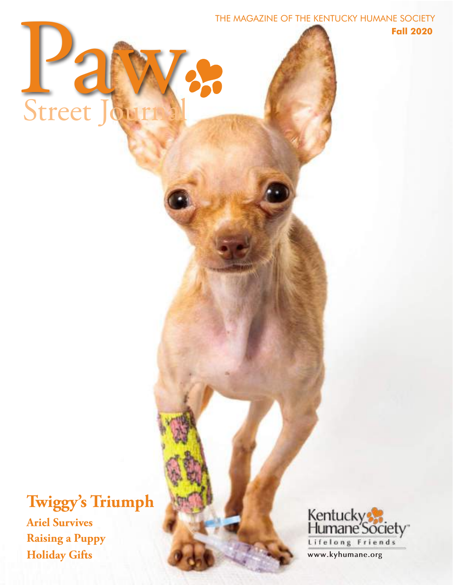

**Fall 2020**



# **Twiggy's Triumph Ariel Survives Raising a Puppy Holiday Gifts**

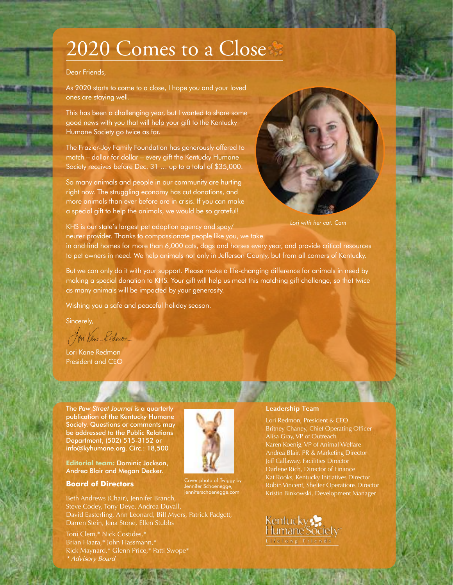# 2020 Comes to a Close

#### Dear Friends,

As 2020 starts to come to a close, I hope you and your loved ones are staying well.

This has been a challenging year, but I wanted to share some good news with you that will help your gift to the Kentucky Humane Society go twice as far.

The Frazier-Joy Family Foundation has generously offered to match – dollar for dollar – every gift the Kentucky Humane Society receives before Dec. 31 … up to a total of \$35,000.

So many animals and people in our community are hurting right now. The struggling economy has cut donations, and more animals than ever before are in crisis. If you can make a special gift to help the animals, we would be so grateful!



*Lori with her cat, Cam*

KHS is our state's largest pet adoption agency and spay/ neuter provider. Thanks to compassionate people like you, we take

in and find homes for more than 6,000 cats, dogs and horses every year, and provide critical resources to pet owners in need. We help animals not only in Jefferson County, but from all corners of Kentucky.

But we can only do it with your support. Please make a life-changing difference for animals in need by making a special donation to KHS. Your gift will help us meet this matching gift challenge, so that twice as many animals will be impacted by your generosity.

Wishing you a safe and peaceful holiday season.

Sincerely,

Ei Vane Redmon

Lori Kane Redmon President and CEO

The *Paw Street Journal* is a quarterly publication of the Kentucky Humane Society. Questions or comments may be addressed to the Public Relations Department, (502) 515-3152 or info@kyhumane.org. Circ.: 18,500

**Editorial team:** Dominic Jackson, Andrea Blair and Megan Decker.

#### **Board of Directors**

Beth Andrews (Chair), Jennifer Branch, Steve Codey, Tony Deye, Andrea Duvall, David Easterling, Ann Leonard, Bill Myers, Patrick Padgett, Darren Stein, Jena Stone, Ellen Stubbs

Toni Clem,\* Nick Costides,\* Brian Haara,\* John Hassmann,\* Rick Maynard,\* Glenn Price,\* Patti Swope\* *\* Advisory Board*



Cover photo of Twiggy by Jennifer Schoenegge, jenniferschoenegge.com

#### **Leadership Team**

Lori Redmon, President & CEO Britney Chaney, Chief Operating Officer Alisa Gray, VP of Outreach Karen Koenig, VP of Animal Welfare Andrea Blair, PR & Marketing Director Jeff Callaway, Facilities Director Darlene Rich, Director of Finance Kat Rooks, Kentucky Initiatives Director Robin Vincent, Shelter Operations Director Kristin Binkowski, Development Manager

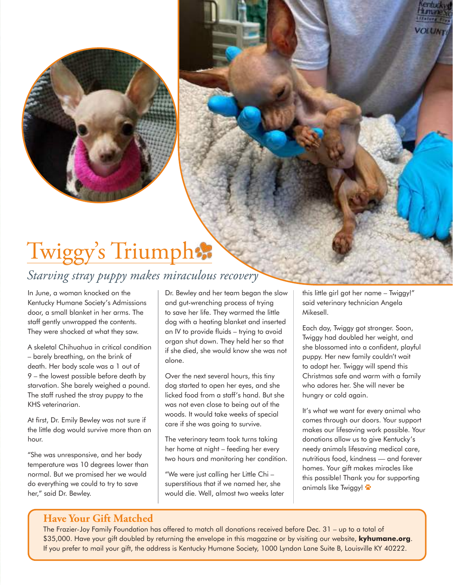# Twiggy's Triumph:

# *Starving stray puppy makes miraculous recovery*

In June, a woman knocked on the Kentucky Humane Society's Admissions door, a small blanket in her arms. The staff gently unwrapped the contents. They were shocked at what they saw.

A skeletal Chihuahua in critical condition – barely breathing, on the brink of death. Her body scale was a 1 out of 9 – the lowest possible before death by starvation. She barely weighed a pound. The staff rushed the stray puppy to the KHS veterinarian.

At first, Dr. Emily Bewley was not sure if the little dog would survive more than an hour.

"She was unresponsive, and her body temperature was 10 degrees lower than normal. But we promised her we would do everything we could to try to save her," said Dr. Bewley.

Dr. Bewley and her team began the slow and gut-wrenching process of trying to save her life. They warmed the little dog with a heating blanket and inserted an IV to provide fluids – trying to avoid organ shut down. They held her so that if she died, she would know she was not alone.

Over the next several hours, this tiny dog started to open her eyes, and she licked food from a staff's hand. But she was not even close to being out of the woods. It would take weeks of special care if she was going to survive.

The veterinary team took turns taking her home at night – feeding her every two hours and monitoring her condition.

"We were just calling her Little Chi – superstitious that if we named her, she would die. Well, almost two weeks later this little girl got her name – Twiggy!" said veterinary technician Angela Mikesell.

Each day, Twiggy got stronger. Soon, Twiggy had doubled her weight, and she blossomed into a confident, playful puppy. Her new family couldn't wait to adopt her. Twiggy will spend this Christmas safe and warm with a family who adores her. She will never be hungry or cold again.

It's what we want for every animal who comes through our doors. Your support makes our lifesaving work possible. Your donations allow us to give Kentucky's needy animals lifesaving medical care, nutritious food, kindness — and forever homes. Your gift makes miracles like this possible! Thank you for supporting animals like Twiggy!  $\ddot{\bullet}$ 

## **Have Your Gift Matched**

The Frazier-Joy Family Foundation has offered to match all donations received before Dec. 31 – up to a total of \$35,000. Have your gift doubled by returning the envelope in this magazine or by visiting our website, **kyhumane.org**. If you prefer to mail your gift, the address is Kentucky Humane Society, 1000 Lyndon Lane Suite B, Louisville KY 40222.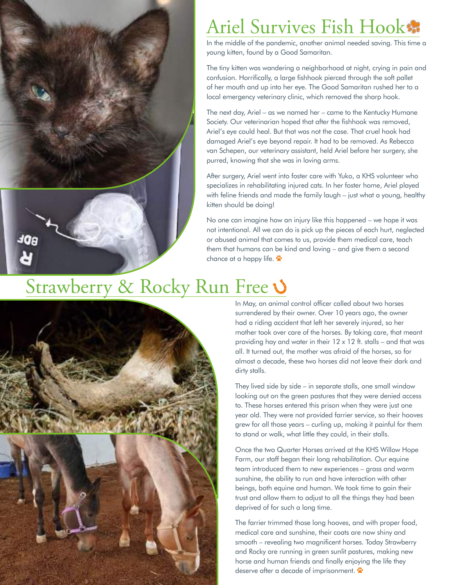

# Ariel Survives Fish Hook

In the middle of the pandemic, another animal needed saving. This time a young kitten, found by a Good Samaritan.

The tiny kitten was wandering a neighborhood at night, crying in pain and confusion. Horrifically, a large fishhook pierced through the soft pallet of her mouth and up into her eye. The Good Samaritan rushed her to a local emergency veterinary clinic, which removed the sharp hook.

The next day, Ariel – as we named her – came to the Kentucky Humane Society. Our veterinarian hoped that after the fishhook was removed, Ariel's eye could heal. But that was not the case. That cruel hook had damaged Ariel's eye beyond repair. It had to be removed. As Rebecca van Schepen, our veterinary assistant, held Ariel before her surgery, she purred, knowing that she was in loving arms.

After surgery, Ariel went into foster care with Yuko, a KHS volunteer who specializes in rehabilitating injured cats. In her foster home, Ariel played with feline friends and made the family laugh – just what a young, healthy kitten should be doing!

No one can imagine how an injury like this happened – we hope it was not intentional. All we can do is pick up the pieces of each hurt, neglected or abused animal that comes to us, provide them medical care, teach them that humans can be kind and loving – and give them a second chance at a happy life.  $\ddot{\bullet}$ 

# Strawberry & Rocky Run Free  $\mathbf{\dot{V}}$



In May, an animal control officer called about two horses surrendered by their owner. Over 10 years ago, the owner had a riding accident that left her severely injured, so her mother took over care of the horses. By taking care, that meant providing hay and water in their 12 x 12 ft. stalls – and that was all. It turned out, the mother was afraid of the horses, so for almost a decade, these two horses did not leave their dark and dirty stalls.

They lived side by side – in separate stalls, one small window looking out on the green pastures that they were denied access to. These horses entered this prison when they were just one year old. They were not provided farrier service, so their hooves grew for all those years – curling up, making it painful for them to stand or walk, what little they could, in their stalls.

Once the two Quarter Horses arrived at the KHS Willow Hope Farm, our staff began their long rehabilitation. Our equine team introduced them to new experiences – grass and warm sunshine, the ability to run and have interaction with other beings, both equine and human. We took time to gain their trust and allow them to adjust to all the things they had been deprived of for such a long time.

The farrier trimmed those long hooves, and with proper food, medical care and sunshine, their coats are now shiny and smooth – revealing two magnificent horses. Today Strawberry and Rocky are running in green sunlit pastures, making new horse and human friends and finally enjoying the life they deserve after a decade of imprisonment.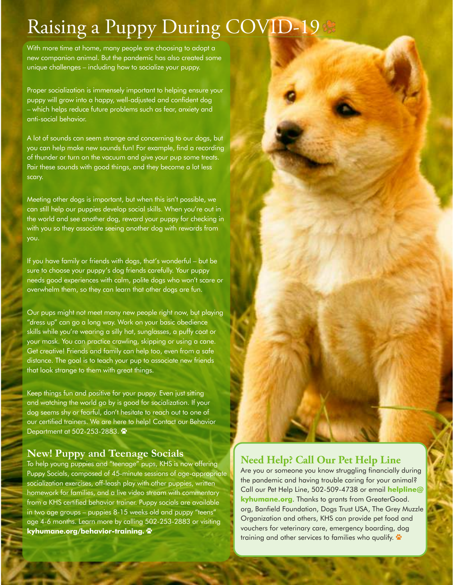# Raising a Puppy During COVID-19

With more time at home, many people are choosing to adopt a new companion animal. But the pandemic has also created some unique challenges – including how to socialize your puppy.

Proper socialization is immensely important to helping ensure your puppy will grow into a happy, well-adjusted and confident dog – which helps reduce future problems such as fear, anxiety and anti-social behavior.

A lot of sounds can seem strange and concerning to our dogs, but you can help make new sounds fun! For example, find a recording of thunder or turn on the vacuum and give your pup some treats. Pair these sounds with good things, and they become a lot less scary.

Meeting other dogs is important, but when this isn't possible, we can still help our puppies develop social skills. When you're out in the world and see another dog, reward your puppy for checking in with you so they associate seeing another dog with rewards from you.

If you have family or friends with dogs, that's wonderful – but be sure to choose your puppy's dog friends carefully. Your puppy needs good experiences with calm, polite dogs who won't scare or overwhelm them, so they can learn that other dogs are fun.

Our pups might not meet many new people right now, but playing "dress up" can go a long way. Work on your basic obedience skills while you're wearing a silly hat, sunglasses, a puffy coat or your mask. You can practice crawling, skipping or using a cane. Get creative! Friends and family can help too, even from a safe distance. The goal is to teach your pup to associate new friends that look strange to them with great things.

Keep things fun and positive for your puppy. Even just sitting and watching the world go by is good for socialization. If your dog seems shy or fearful, don't hesitate to reach out to one of our certified trainers. We are here to help! Contact our Behavior Department at 502-253-2883.

### **New! Puppy and Teenage Socials**

To help young puppies and "teenage" pups, KHS is now offering Puppy Socials, composed of 45-minute sessions of age-appropriate socialization exercises, off-leash play with other puppies, written homework for families, and a live video stream with commentary from a KHS certified behavior trainer. Puppy socials are available in two age groups – puppies 8-15 weeks old and puppy "teens" age 4-6 months. Learn more by calling 502-253-2883 or visiting **kyhumane.org/behavior-training.** U

## **Need Help? Call Our Pet Help Line**

Are you or someone you know struggling financially during the pandemic and having trouble caring for your animal? Call our Pet Help Line, 502-509-4738 or email **helpline@ kyhumane.org**. Thanks to grants from GreaterGood. org, Banfield Foundation, Dogs Trust USA, The Grey Muzzle Organization and others, KHS can provide pet food and vouchers for veterinary care, emergency boarding, dog training and other services to families who qualify.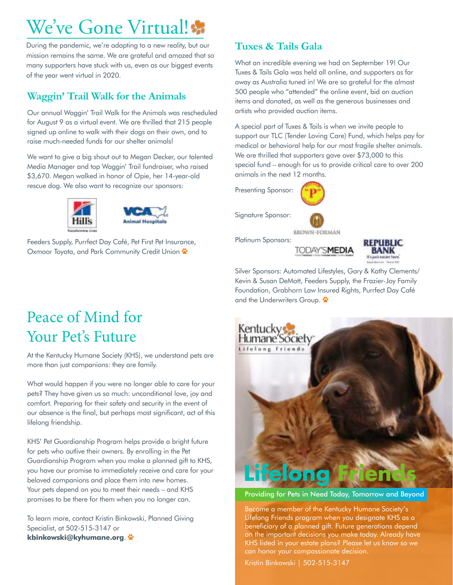# We've Gone Virtual!

During the pandemic, we're adapting to a new reality, but our mission remains the same. We are grateful and amazed that so many supporters have stuck with us, even as our biggest events of the year went virtual in 2020.

## **Waggin' Trail Walk for the Animals**

Our annual Waggin' Trail Walk for the Animals was rescheduled for August 9 as a virtual event. We are thrilled that 215 people signed up online to walk with their dogs on their own, and to raise much-needed funds for our shelter animals!

We want to give a big shout out to Megan Decker, our talented Media Manager and top Waggin' Trail fundraiser, who raised \$3,670. Megan walked in honor of Opie, her 14-year-old rescue dog. We also want to recognize our sponsors:





Feeders Supply, Purrfect Day Café, Pet First Pet Insurance, Oxmoor Toyota, and Park Community Credit Union  $\ddot{\bullet}$ 

## **Tuxes & Tails Gala**

What an incredible evening we had on September 19! Our Tuxes & Tails Gala was held all online, and supporters as far away as Australia tuned in! We are so grateful for the almost 500 people who "attended" the online event, bid on auction items and donated, as well as the generous businesses and artists who provided auction items.

A special part of Tuxes & Tails is when we invite people to support our TLC (Tender Loving Care) Fund, which helps pay for medical or behavioral help for our most fragile shelter animals. We are thrilled that supporters gave over \$73,000 to this special fund – enough for us to provide critical care to over 200 animals in the next 12 months.

Presenting Sponsor:



Signature Sponsor:



**BROWN-FORMAN** Platinum Sponsors:

**TODAY'SMEDIA** 



Silver Sponsors: Automated Lifestyles, Gary & Kathy Clements/ Kevin & Susan DeMott, Feeders Supply, the Frazier-Joy Family Foundation, Grabhorn Law Insured Rights, Purrfect Day Café and the Underwriters Group.



Providing for Pets in Need Today, Tomorrow and Beyond

Become a member of the Kentucky Humane Society's Lifelong Friends program when you designate KHS as a beneficiary of a planned gift. Future generations depend on the important decisions you make today. Already have KHS listed in your estate plans? Please let us know so we can honor your compassionate decision.

Kristin Binkowski | 502-515-3147

# Peace of Mind for Your Pet's Future

At the Kentucky Humane Society (KHS), we understand pets are more than just companions: they are family.

What would happen if you were no longer able to care for your pets? They have given us so much: unconditional love, joy and comfort. Preparing for their safety and security in the event of our absence is the final, but perhaps most significant, act of this lifelong friendship.

KHS' Pet Guardianship Program helps provide a bright future for pets who outlive their owners. By enrolling in the Pet Guardianship Program when you make a planned gift to KHS, you have our promise to immediately receive and care for your beloved companions and place them into new homes. Your pets depend on you to meet their needs – and KHS promises to be there for them when you no longer can.

To learn more, contact Kristin Binkowski, Planned Giving Specialist, at 502-515-3147 or **kbinkowski@kyhumane.org**. U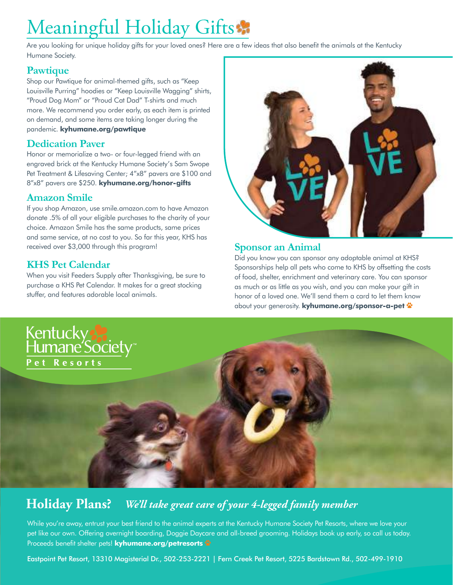# Meaningful Holiday Gifts:

Are you looking for unique holiday gifts for your loved ones? Here are a few ideas that also benefit the animals at the Kentucky Humane Society.

### **Pawtique**

Shop our Pawtique for animal-themed gifts, such as "Keep Louisville Purring" hoodies or "Keep Louisville Wagging" shirts, "Proud Dog Mom" or "Proud Cat Dad" T-shirts and much more. We recommend you order early, as each item is printed on demand, and some items are taking longer during the pandemic. **kyhumane.org/pawtique**

### **Dedication Paver**

Honor or memorialize a two- or four-legged friend with an engraved brick at the Kentucky Humane Society's Sam Swope Pet Treatment & Lifesaving Center; 4"x8" pavers are \$100 and 8"x8" pavers are \$250. **kyhumane.org/honor-gifts**

### **Amazon Smile**

If you shop Amazon, use smile.amazon.com to have Amazon donate .5% of all your eligible purchases to the charity of your choice. Amazon Smile has the same products, same prices and same service, at no cost to you. So far this year, KHS has received over \$3,000 through this program!

## **KHS Pet Calendar**

When you visit Feeders Supply after Thanksgiving, be sure to purchase a KHS Pet Calendar. It makes for a great stocking stuffer, and features adorable local animals.



### **Sponsor an Animal**

Did you know you can sponsor any adoptable animal at KHS? Sponsorships help all pets who come to KHS by offsetting the costs of food, shelter, enrichment and veterinary care. You can sponsor as much or as little as you wish, and you can make your gift in honor of a loved one. We'll send them a card to let them know **about your generosity. kyhumane.org/sponsor-a-pet**  $\ddot{\ddot{\cdot}}$ 



#### **Holiday Plans?**  *We'll take great care of your 4-legged family member*

While you're away, entrust your best friend to the animal experts at the Kentucky Humane Society Pet Resorts, where we love your pet like our own. Offering overnight boarding, Doggie Daycare and all-breed grooming. Holidays book up early, so call us today. Proceeds benefit shelter pets! **kyhumane.org/petresorts** 

Eastpoint Pet Resort, 13310 Magisterial Dr., 502-253-2221 | Fern Creek Pet Resort, 5225 Bardstown Rd., 502-499-1910